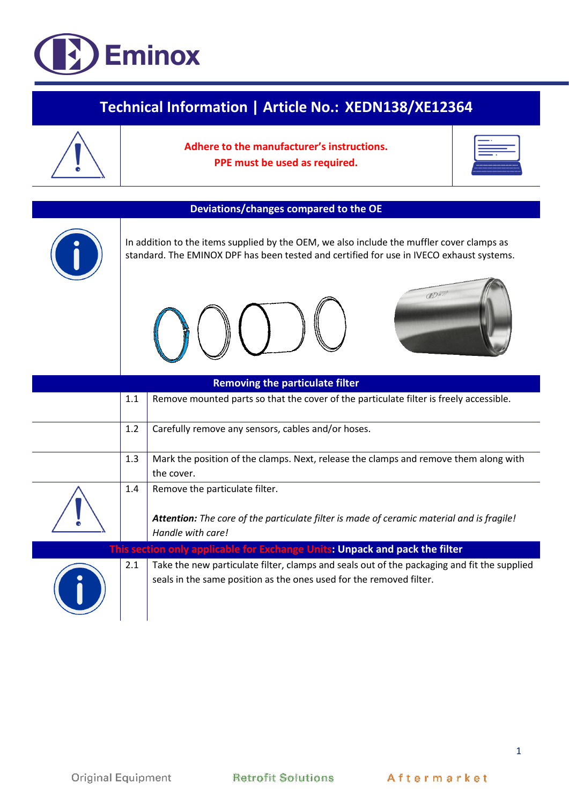## **Eminox**

| Technical Information   Article No.: XEDN138/XE12364 |     |                                                                                                                                                                                       |  |  |
|------------------------------------------------------|-----|---------------------------------------------------------------------------------------------------------------------------------------------------------------------------------------|--|--|
|                                                      |     | Adhere to the manufacturer's instructions.<br>PPE must be used as required.                                                                                                           |  |  |
| <b>Deviations/changes compared to the OE</b>         |     |                                                                                                                                                                                       |  |  |
|                                                      |     | In addition to the items supplied by the OEM, we also include the muffler cover clamps as<br>standard. The EMINOX DPF has been tested and certified for use in IVECO exhaust systems. |  |  |
|                                                      |     | <b>BOW</b>                                                                                                                                                                            |  |  |
|                                                      |     | <b>Removing the particulate filter</b>                                                                                                                                                |  |  |
|                                                      | 1.1 | Remove mounted parts so that the cover of the particulate filter is freely accessible.                                                                                                |  |  |
|                                                      | 1.2 | Carefully remove any sensors, cables and/or hoses.                                                                                                                                    |  |  |
|                                                      | 1.3 | Mark the position of the clamps. Next, release the clamps and remove them along with<br>the cover.                                                                                    |  |  |
|                                                      | 1.4 | Remove the particulate filter.<br>Attention: The core of the particulate filter is made of ceramic material and is fragile!<br>Handle with care!                                      |  |  |
|                                                      |     | This section only applicable for Exchange Units: Unpack and pack the filter                                                                                                           |  |  |
|                                                      | 2.1 | Take the new particulate filter, clamps and seals out of the packaging and fit the supplied<br>seals in the same position as the ones used for the removed filter.                    |  |  |